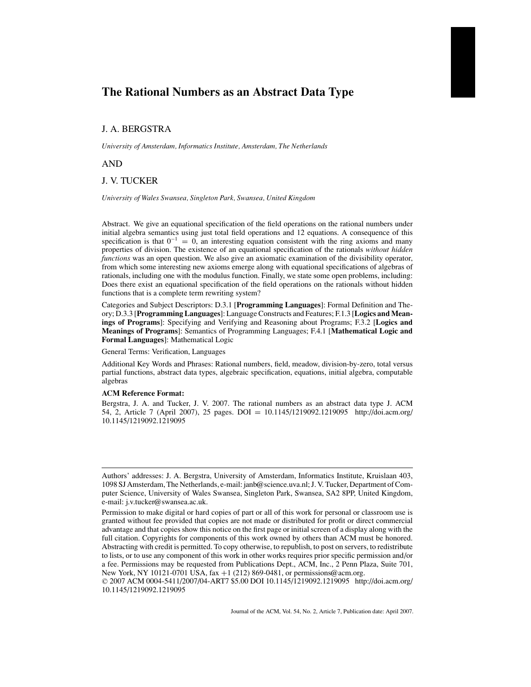# **The Rational Numbers as an Abstract Data Type**

# J. A. BERGSTRA

*University of Amsterdam, Informatics Institute, Amsterdam, The Netherlands*

AND

# J. V. TUCKER

*University of Wales Swansea, Singleton Park, Swansea, United Kingdom*

Abstract. We give an equational specification of the field operations on the rational numbers under initial algebra semantics using just total field operations and 12 equations. A consequence of this specification is that  $0^{-1} = 0$ , an interesting equation consistent with the ring axioms and many properties of division. The existence of an equational specification of the rationals *without hidden functions* was an open question. We also give an axiomatic examination of the divisibility operator, from which some interesting new axioms emerge along with equational specifications of algebras of rationals, including one with the modulus function. Finally, we state some open problems, including: Does there exist an equational specification of the field operations on the rationals without hidden functions that is a complete term rewriting system?

Categories and Subject Descriptors: D.3.1 [**Programming Languages**]: Formal Definition and Theory; D.3.3 [**Programming Languages**]: Language Constructs and Features; F.1.3 [**Logics and Meanings of Programs**]: Specifying and Verifying and Reasoning about Programs; F.3.2 [**Logics and Meanings of Programs**]: Semantics of Programming Languages; F.4.1 [**Mathematical Logic and Formal Languages**]: Mathematical Logic

General Terms: Verification, Languages

Additional Key Words and Phrases: Rational numbers, field, meadow, division-by-zero, total versus partial functions, abstract data types, algebraic specification, equations, initial algebra, computable algebras

### **ACM Reference Format:**

Bergstra, J. A. and Tucker, J. V. 2007. The rational numbers as an abstract data type J. ACM 54, 2, Article 7 (April 2007), 25 pages. DOI = 10.1145/1219092.1219095 http://doi.acm.org/ 10.1145/1219092.1219095

Authors' addresses: J. A. Bergstra, University of Amsterdam, Informatics Institute, Kruislaan 403, 1098 SJ Amsterdam, The Netherlands, e-mail: janb@science.uva.nl; J. V. Tucker, Department of Computer Science, University of Wales Swansea, Singleton Park, Swansea, SA2 8PP, United Kingdom, e-mail: j.v.tucker@swansea.ac.uk.

Permission to make digital or hard copies of part or all of this work for personal or classroom use is granted without fee provided that copies are not made or distributed for profit or direct commercial advantage and that copies show this notice on the first page or initial screen of a display along with the full citation. Copyrights for components of this work owned by others than ACM must be honored. Abstracting with credit is permitted. To copy otherwise, to republish, to post on servers, to redistribute to lists, or to use any component of this work in other works requires prior specific permission and/or a fee. Permissions may be requested from Publications Dept., ACM, Inc., 2 Penn Plaza, Suite 701, New York, NY 10121-0701 USA, fax +1 (212) 869-0481, or permissions@acm.org.

<sup>© 2007</sup> ACM 0004-5411/2007/04-ART7 \$5.00 DOI 10.1145/1219092.1219095 http://doi.acm.org/ 10.1145/1219092.1219095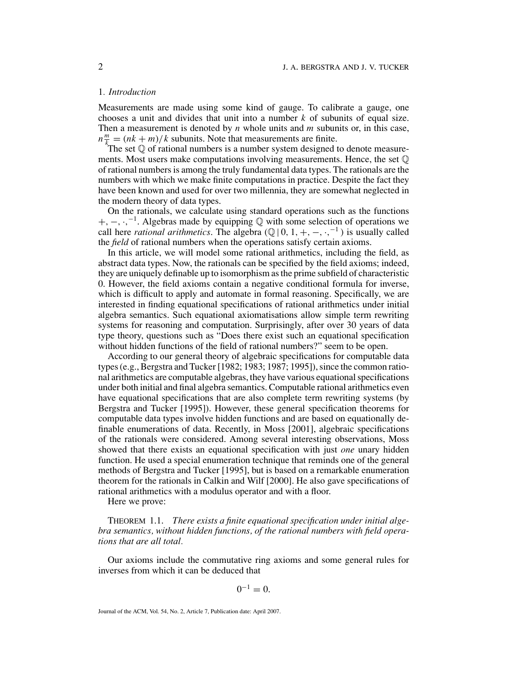#### 1*. Introduction*

Measurements are made using some kind of gauge. To calibrate a gauge, one chooses a unit and divides that unit into a number *k* of subunits of equal size. Then a measurement is denoted by *n* whole units and *m* subunits or, in this case,  $n \frac{m}{k_m} = (nk + m)/k$  subunits. Note that measurements are finite.

The set  $\mathbb Q$  of rational numbers is a number system designed to denote measurements. Most users make computations involving measurements. Hence, the set  $\mathbb Q$ of rational numbers is among the truly fundamental data types. The rationals are the numbers with which we make finite computations in practice. Despite the fact they have been known and used for over two millennia, they are somewhat neglected in the modern theory of data types.

On the rationals, we calculate using standard operations such as the functions +, −, ·,<sup>-1</sup>. Algebras made by equipping Q with some selection of operations we call here *rational arithmetics*. The algebra  $(\mathbb{Q} \mid 0, 1, +, -, \cdot, ^{-1})$  is usually called the *field* of rational numbers when the operations satisfy certain axioms.

In this article, we will model some rational arithmetics, including the field, as abstract data types. Now, the rationals can be specified by the field axioms; indeed, they are uniquely definable up to isomorphism as the prime subfield of characteristic 0. However, the field axioms contain a negative conditional formula for inverse, which is difficult to apply and automate in formal reasoning. Specifically, we are interested in finding equational specifications of rational arithmetics under initial algebra semantics. Such equational axiomatisations allow simple term rewriting systems for reasoning and computation. Surprisingly, after over 30 years of data type theory, questions such as "Does there exist such an equational specification without hidden functions of the field of rational numbers?" seem to be open.

According to our general theory of algebraic specifications for computable data types (e.g., Bergstra and Tucker [1982; 1983; 1987; 1995]), since the common rational arithmetics are computable algebras, they have various equational specifications under both initial and final algebra semantics. Computable rational arithmetics even have equational specifications that are also complete term rewriting systems (by Bergstra and Tucker [1995]). However, these general specification theorems for computable data types involve hidden functions and are based on equationally definable enumerations of data. Recently, in Moss [2001], algebraic specifications of the rationals were considered. Among several interesting observations, Moss showed that there exists an equational specification with just *one* unary hidden function. He used a special enumeration technique that reminds one of the general methods of Bergstra and Tucker [1995], but is based on a remarkable enumeration theorem for the rationals in Calkin and Wilf [2000]. He also gave specifications of rational arithmetics with a modulus operator and with a floor.

Here we prove:

THEOREM 1.1. *There exists a finite equational specification under initial algebra semantics, without hidden functions, of the rational numbers with field operations that are all total.*

Our axioms include the commutative ring axioms and some general rules for inverses from which it can be deduced that

$$
0^{-1}=0.
$$

Journal of the ACM, Vol. 54, No. 2, Article 7, Publication date: April 2007.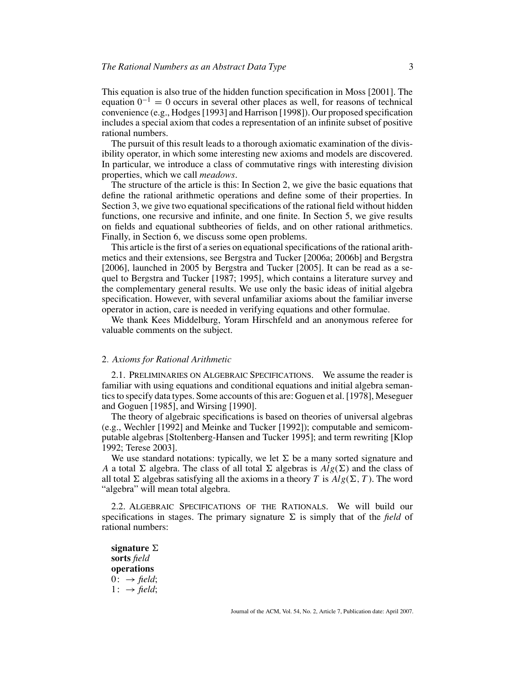This equation is also true of the hidden function specification in Moss [2001]. The equation  $0^{-1} = 0$  occurs in several other places as well, for reasons of technical convenience (e.g., Hodges [1993] and Harrison [1998]). Our proposed specification includes a special axiom that codes a representation of an infinite subset of positive rational numbers.

The pursuit of this result leads to a thorough axiomatic examination of the divisibility operator, in which some interesting new axioms and models are discovered. In particular, we introduce a class of commutative rings with interesting division properties, which we call *meadows*.

The structure of the article is this: In Section 2, we give the basic equations that define the rational arithmetic operations and define some of their properties. In Section 3, we give two equational specifications of the rational field without hidden functions, one recursive and infinite, and one finite. In Section 5, we give results on fields and equational subtheories of fields, and on other rational arithmetics. Finally, in Section 6, we discuss some open problems.

This article is the first of a series on equational specifications of the rational arithmetics and their extensions, see Bergstra and Tucker [2006a; 2006b] and Bergstra [2006], launched in 2005 by Bergstra and Tucker [2005]. It can be read as a sequel to Bergstra and Tucker [1987; 1995], which contains a literature survey and the complementary general results. We use only the basic ideas of initial algebra specification. However, with several unfamiliar axioms about the familiar inverse operator in action, care is needed in verifying equations and other formulae.

We thank Kees Middelburg, Yoram Hirschfeld and an anonymous referee for valuable comments on the subject.

### 2*. Axioms for Rational Arithmetic*

2.1. PRELIMINARIES ON ALGEBRAIC SPECIFICATIONS. We assume the reader is familiar with using equations and conditional equations and initial algebra semantics to specify data types. Some accounts of this are: Goguen et al. [1978], Meseguer and Goguen [1985], and Wirsing [1990].

The theory of algebraic specifications is based on theories of universal algebras (e.g., Wechler [1992] and Meinke and Tucker [1992]); computable and semicomputable algebras [Stoltenberg-Hansen and Tucker 1995]; and term rewriting [Klop 1992; Terese 2003].

We use standard notations: typically, we let  $\Sigma$  be a many sorted signature and *A* a total  $\Sigma$  algebra. The class of all total  $\Sigma$  algebras is  $Alg(\Sigma)$  and the class of all total  $\Sigma$  algebras satisfying all the axioms in a theory *T* is  $Alg(\Sigma, T)$ . The word "algebra" will mean total algebra.

2.2. ALGEBRAIC SPECIFICATIONS OF THE RATIONALS. We will build our specifications in stages. The primary signature  $\Sigma$  is simply that of the *field* of rational numbers:

 $\mathbf{s}$ **ignature**  $\Sigma$ **sorts** *field* **operations**  $0: \rightarrow \text{field}$ :  $1: \rightarrow \text{field};$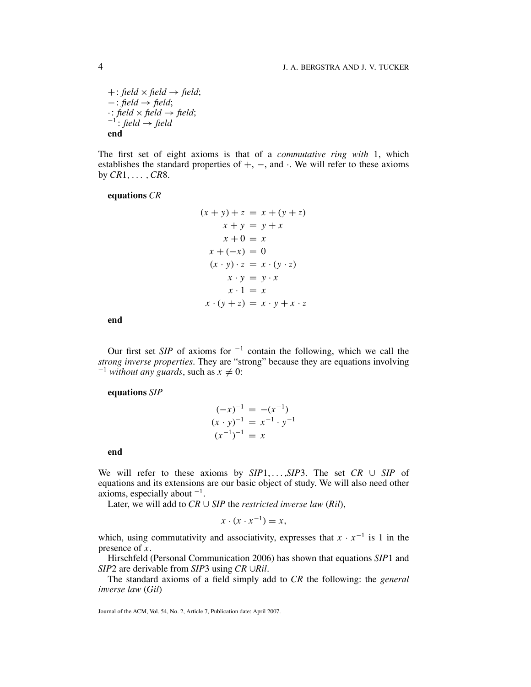$+: \text{field} \times \text{field} \rightarrow \text{field};$ −: *field* → *field*;  $\cdot$ : *field* × *field* → *field*;<br><sup>-1</sup>: *field* → *field* **end**

The first set of eight axioms is that of a *commutative ring with* 1, which establishes the standard properties of  $+$ ,  $-$ , and  $\cdot$ . We will refer to these axioms by *CR*1,... ,*CR*8.

# **equations** *CR*

$$
(x + y) + z = x + (y + z)
$$
  
\n
$$
x + y = y + x
$$
  
\n
$$
x + 0 = x
$$
  
\n
$$
x + (-x) = 0
$$
  
\n
$$
(x \cdot y) \cdot z = x \cdot (y \cdot z)
$$
  
\n
$$
x \cdot y = y \cdot x
$$
  
\n
$$
x \cdot 1 = x
$$
  
\n
$$
x \cdot (y + z) = x \cdot y + x \cdot z
$$

**end**

Our first set *SIP* of axioms for <sup>−</sup><sup>1</sup> contain the following, which we call the *strong inverse properties.* They are "strong" because they are equations involving  $^{-1}$  *without any guards*, such as  $x \neq 0$ :

# **equations** *SIP*

$$
(-x)^{-1} = -(x^{-1})
$$
  
\n
$$
(x \cdot y)^{-1} = x^{-1} \cdot y^{-1}
$$
  
\n
$$
(x^{-1})^{-1} = x
$$

**end**

We will refer to these axioms by *SIP*1, ... ,*SIP*3. The set *CR* ∪ *SIP* of equations and its extensions are our basic object of study. We will also need other axioms, especially about  $^{-1}$ .

Later, we will add to  $CR \cup SIP$  the *restricted inverse law*  $(Ril)$ ,

$$
x \cdot (x \cdot x^{-1}) = x,
$$

which, using commutativity and associativity, expresses that  $x \cdot x^{-1}$  is 1 in the presence of *x*.

Hirschfeld (Personal Communication 2006) has shown that equations *SIP*1 and *SIP*2 are derivable from *SIP*3 using *CR* ∪*Ril*.

The standard axioms of a field simply add to *CR* the following: the *general inverse law* (*Gil*)

Journal of the ACM, Vol. 54, No. 2, Article 7, Publication date: April 2007.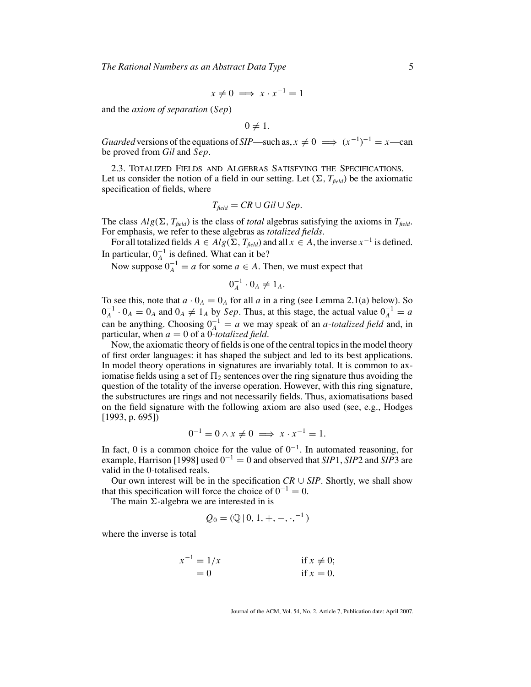*The Rational Numbers as an Abstract Data Type* 5

$$
x \neq 0 \implies x \cdot x^{-1} = 1
$$

and the *axiom of separation* (*Sep*)

$$
0 \neq 1
$$
.

*Guarded* versions of the equations of *SIP*—such as,  $x \neq 0 \implies (x^{-1})^{-1} = x$ —can be proved from *Gil* and *Sep*.

2.3. TOTALIZED FIELDS AND ALGEBRAS SATISFYING THE SPECIFICATIONS. Let us consider the notion of a field in our setting. Let  $(\Sigma, T_{\text{field}})$  be the axiomatic specification of fields, where

$$
T_{\text{field}} = CR \cup Gil \cup Sep.
$$

The class  $Alg(\Sigma, T_{field})$  is the class of *total* algebras satisfying the axioms in  $T_{field}$ . For emphasis, we refer to these algebras as *totalized fields*.

For all totalized fields  $A \in Alg(\Sigma, T_{field})$  and all  $x \in A$ , the inverse  $x^{-1}$  is defined. In particular,  $0_A^{-1}$  is defined. What can it be?

Now suppose  $0_A^{-1} = a$  for some  $a \in A$ . Then, we must expect that

$$
0_A^{-1} \cdot 0_A \neq 1_A.
$$

To see this, note that  $a \cdot 0_A = 0_A$  for all *a* in a ring (see Lemma 2.1(a) below). So  $0_A^{-1} \cdot 0_A = 0_A$  and  $0_A \neq 1_A$  by *Sep*. Thus, at this stage, the actual value  $0_A^{-1} = a$ can be anything. Choosing  $0_A^{-1} = a$  we may speak of an *a*-*totalized field* and, in particular, when  $a = 0$  of a 0-*totalized field*.

Now, the axiomatic theory of fields is one of the central topics in the model theory of first order languages: it has shaped the subject and led to its best applications. In model theory operations in signatures are invariably total. It is common to axiomatise fields using a set of  $\Pi_2$  sentences over the ring signature thus avoiding the question of the totality of the inverse operation. However, with this ring signature, the substructures are rings and not necessarily fields. Thus, axiomatisations based on the field signature with the following axiom are also used (see, e.g., Hodges [1993, p. 695])

$$
0^{-1} = 0 \wedge x \neq 0 \implies x \cdot x^{-1} = 1.
$$

In fact, 0 is a common choice for the value of  $0^{-1}$ . In automated reasoning, for example, Harrison [1998] used 0<sup>−</sup><sup>1</sup> = 0 and observed that *SIP*1, *SIP*2 and *SIP*3 are valid in the 0-totalised reals.

Our own interest will be in the specification  $CR \cup SIP$ . Shortly, we shall show that this specification will force the choice of  $0^{-1} = 0$ .

The main  $\Sigma$ -algebra we are interested in is

$$
Q_0 = (\mathbb{Q} \,|\, 0, 1, +, -, \cdot, ^{-1})
$$

where the inverse is total

$$
x^{-1} = 1/x
$$
  
if  $x \neq 0$ ;  
if  $x = 0$ .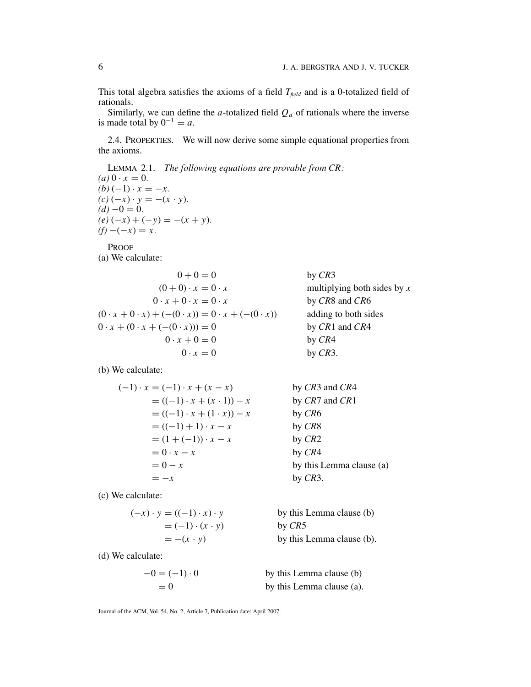This total algebra satisfies the axioms of a field  $T_{field}$  and is a 0-totalized field of rationals.

Similarly, we can define the  $a$ -totalized field  $Q_a$  of rationals where the inverse is made total by  $0^{-1} = a$ .

2.4. PROPERTIES. We will now derive some simple equational properties from the axioms.

LEMMA 2.1. *The following equations are provable from CR:*  $(a) 0 \cdot x = 0.$  $(b) (-1) \cdot x = -x.$ *(c)* (−*x*) · *y* = −(*x* · *y*).  $(d) -0 = 0.$  $(e) (-x) + (-y) = -(x + y).$  $(f) -(-x) = x.$ 

PROOF (a) We calculate:

| $0 + 0 = 0$                                                             | by $CR3$                      |
|-------------------------------------------------------------------------|-------------------------------|
| $(0+0)\cdot x=0\cdot x$                                                 | multiplying both sides by $x$ |
| $0 \cdot x + 0 \cdot x = 0 \cdot x$                                     | by CR8 and CR6                |
| $(0 \cdot x + 0 \cdot x) + (-(0 \cdot x)) = 0 \cdot x + (-(0 \cdot x))$ | adding to both sides          |
| $0 \cdot x + (0 \cdot x + (- (0 \cdot x))) = 0$                         | by $CR1$ and $CR4$            |
| $0 \cdot x + 0 = 0$                                                     | by $CR4$                      |
| $0 \cdot x = 0$                                                         | by $CR3$ .                    |

(b) We calculate:

$$
(-1) \cdot x = (-1) \cdot x + (x - x)
$$
  
\n
$$
= ((-1) \cdot x + (x \cdot 1)) - x
$$
  
\n
$$
= ((-1) \cdot x + (1 \cdot x)) - x
$$
  
\n
$$
= ((-1) + 1) \cdot x - x
$$
  
\n
$$
= (1 + (-1)) \cdot x - x
$$
  
\n
$$
= 0 - x
$$
  
\nby *CR3* and *CR4*  
\nby *CR6*  
\nby *CR8*  
\nby *CR8*  
\nby *CR2*  
\nby *CR4*  
\nby this Lemma clause (a)  
\nby *CR3*.

(c) We calculate:

$$
(-x) \cdot y = ((-1) \cdot x) \cdot y
$$
 by this Lemma clause (b)  
= (-1) \cdot (x \cdot y)  
= -(x \cdot y) by CR5  
by this Lemma clause (b).

(d) We calculate:

$$
-0 = (-1) \cdot 0
$$
 by this Lemma clause (b)  
= 0 by this Lemma clause (a).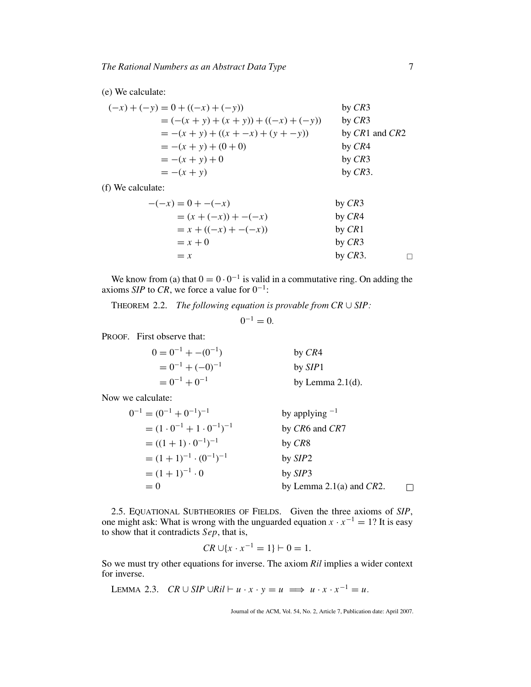# (e) We calculate:

$$
(-x) + (-y) = 0 + ((-x) + (-y))
$$
 by CR3  
\n
$$
= (-x + y) + (x + y)) + ((-x) + (-y))
$$
 by CR3  
\n
$$
= -(x + y) + ((x + -x) + (y + -y))
$$
 by CR1 and CR2  
\n
$$
= -(x + y) + (0 + 0)
$$
 by CR4  
\n
$$
= -(x + y) + 0
$$
 by CR3  
\nby CR3  
\nby CR3.  
\nby CR3.

(f) We calculate:

$$
-(-x) = 0 + -(-x)
$$
  
\n
$$
= (x + (-x)) + -(-x)
$$
  
\n
$$
= x + ((-x) + -(-x))
$$
  
\n
$$
= x + 0
$$
  
\n
$$
= x
$$
  
\nby *CR3*  
\nby *CR4*  
\nby *CR4*  
\nby *CR4*  
\nby *CR4*  
\nby *CR5*  
\nby *CR3*  
\nby *CR3*  
\nby *CR3*  
\nby *CR3*  
\nby *CR4*  
\nby *CR5*  
\nby *CR8*  
\nby *CR8*  
\nby *CR9*  
\nby *CR9*  
\nby *CR9*  
\nby *CR9*  
\nby *CR9*  
\nby *CR9*  
\nby *CR9*  
\nby *CR9*  
\nby *CR9*  
\nby *CR9*  
\nby *CR9*  
\nby *CR9*  
\nby *CR9*  
\nby *CR9*  
\nby *CR9*  
\nby *CR9*  
\nby *CR9*  
\nby *CR9*  
\nby *CR9*  
\nby *CR9*  
\nby *CR9*  
\nby *CR9*  
\nby *CR9*  
\nby *CR9*  
\nby *CR9*  
\nby *CR9*  
\nby *CR9*  
\nby *CR9*  
\nby *CR9*  
\nby *CR9*  
\nby *CR9*  
\nby *CR9*  
\nby *CR9*  
\nby *CR9*  
\nby *CR9*  
\nby *CR9*  
\nby *CR9*  
\nby *CR9*  
\nby *CR9*  
\nby *CR9*  
\nby *CR9*  
\nby 

We know from (a) that  $0 = 0 \cdot 0^{-1}$  is valid in a commutative ring. On adding the axioms *SIP* to *CR*, we force a value for 0<sup>−</sup>1:

THEOREM 2.2. *The following equation is provable from CR* ∪ *SIP:*

 $0^{-1} = 0$ .

PROOF. First observe that:

| $0 = 0^{-1} + -(0^{-1})$ | by CR4              |
|--------------------------|---------------------|
| $= 0^{-1} + (-0)^{-1}$   | by <i>SIP</i> 1     |
| $= 0^{-1} + 0^{-1}$      | by Lemma $2.1(d)$ . |

Now we calculate:

$$
0^{-1} = (0^{-1} + 0^{-1})^{-1}
$$
  
\n
$$
= (1 \cdot 0^{-1} + 1 \cdot 0^{-1})^{-1}
$$
  
\n
$$
= ((1 + 1) \cdot 0^{-1})^{-1}
$$
  
\n
$$
= (1 + 1)^{-1} \cdot (0^{-1})^{-1}
$$
  
\n
$$
= (1 + 1)^{-1} \cdot 0
$$
  
\n
$$
= 0
$$
  
\nby *CRS*  
\nby *SIP2*  
\nby *SIP3*  
\nby *SIP3*  
\nby Lemma 2.1(a) and *CR2*.

2.5. EQUATIONAL SUBTHEORIES OF FIELDS. Given the three axioms of *SIP*, one might ask: What is wrong with the unguarded equation  $x \cdot x^{-1} = 1$ ? It is easy to show that it contradicts *Sep*, that is,

$$
CR \cup \{x \cdot x^{-1} = 1\} \vdash 0 = 1.
$$

So we must try other equations for inverse. The axiom *Ril* implies a wider context for inverse.

LEMMA 2.3. *CR*  $\cup$  *SIP*  $\cup$ *Ril*  $\vdash u \cdot x \cdot y = u \implies u \cdot x \cdot x^{-1} = u$ .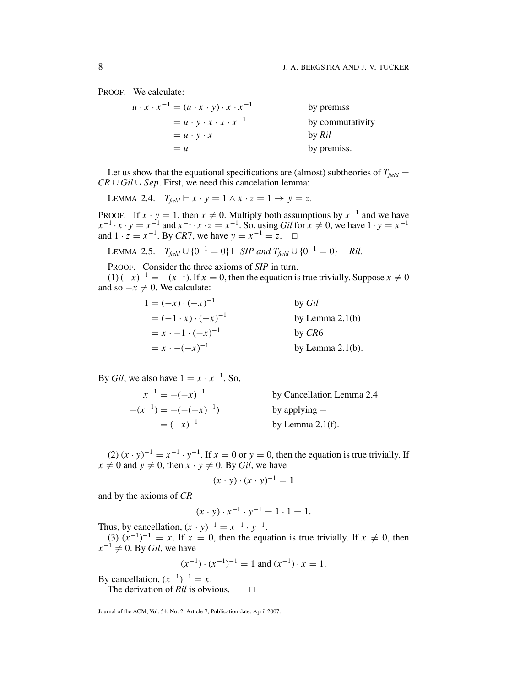PROOF. We calculate:

| $u \cdot x \cdot x^{-1} = (u \cdot x \cdot y) \cdot x \cdot x^{-1}$ | by premiss            |
|---------------------------------------------------------------------|-----------------------|
| $= u \cdot y \cdot x \cdot x \cdot x^{-1}$                          | by commutativity      |
| $= u \cdot y \cdot x$                                               | by Ril                |
| $= u$                                                               | by premiss. $\square$ |

Let us show that the equational specifications are (almost) subtheories of  $T_{field}$  = *CR* ∪ *Gil* ∪ *Sep*. First, we need this cancelation lemma:

LEMMA 2.4.  $T_{field} \vdash x \cdot y = 1 \land x \cdot z = 1 \rightarrow y = z.$ 

PROOF. If  $x \cdot y = 1$ , then  $x \neq 0$ . Multiply both assumptions by  $x^{-1}$  and we have  $x^{-1} \cdot x \cdot y = x^{-1}$  and  $x^{-1} \cdot x \cdot z = x^{-1}$ . So, using *Gil* for  $x \neq 0$ , we have  $1 \cdot y = x^{-1}$ and  $1 \cdot z = x^{-1}$ . By *CR*7, we have  $y = x^{-1} = z$ . □

LEMMA 2.5. 
$$
T_{field} \cup \{0^{-1} = 0\} \vdash SIP \text{ and } T_{field} \cup \{0^{-1} = 0\} \vdash Ril.
$$

PROOF. Consider the three axioms of *SIP* in turn.

 $(1)(-x)^{-1} = -(x^{-1})$ . If  $x = 0$ , then the equation is true trivially. Suppose  $x \neq 0$ and so  $-x \neq 0$ . We calculate:

| $1 = (-x) \cdot (-x)^{-1}$       | by <i>Gil</i>       |
|----------------------------------|---------------------|
| $= (-1 \cdot x) \cdot (-x)^{-1}$ | by Lemma $2.1(b)$   |
| $= x \cdot -1 \cdot (-x)^{-1}$   | by CR6              |
| $= x \cdot -(-x)^{-1}$           | by Lemma $2.1(b)$ . |

By *Gil*, we also have  $1 = x \cdot x^{-1}$ . So,

$$
x^{-1} = -(-x)^{-1}
$$
 by Cancellation Lemma 2.4  
–(x<sup>-1</sup>) = -(-(-x)<sup>-1</sup>) by applying –  
= (-x)<sup>-1</sup> by Lemma 2.1(f).

 $(2)$   $(x \cdot y)^{-1} = x^{-1} \cdot y^{-1}$ . If  $x = 0$  or  $y = 0$ , then the equation is true trivially. If  $x \neq 0$  and  $y \neq 0$ , then  $x \cdot y \neq 0$ . By *Gil*, we have

$$
(x \cdot y) \cdot (x \cdot y)^{-1} = 1
$$

and by the axioms of *CR*

$$
(x \cdot y) \cdot x^{-1} \cdot y^{-1} = 1 \cdot 1 = 1.
$$

Thus, by cancellation,  $(x \cdot y)^{-1} = x^{-1} \cdot y^{-1}$ .

(3)  $(x^{-1})^{-1} = x$ . If  $x = 0$ , then the equation is true trivially. If  $x \neq 0$ , then  $x^{-1} \neq 0$ . By *Gil*, we have

$$
(x^{-1}) \cdot (x^{-1})^{-1} = 1
$$
 and  $(x^{-1}) \cdot x = 1$ .

By cancellation,  $(x^{-1})^{-1} = x$ .

The derivation of *Ril* is obvious.  $\Box$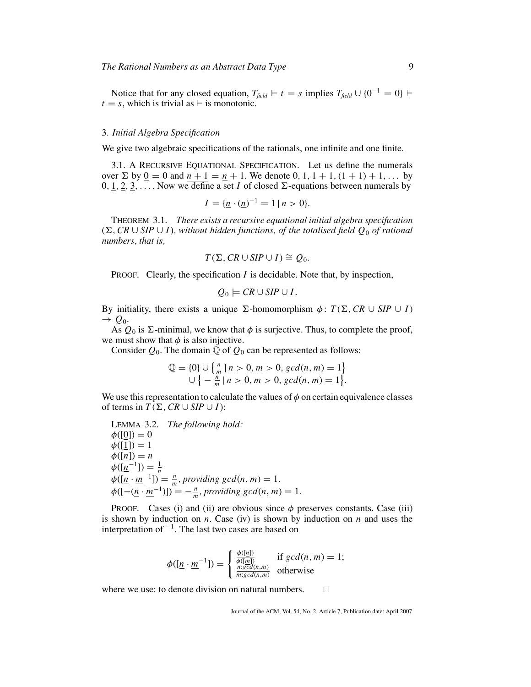Notice that for any closed equation,  $T_{field} \vdash t = s$  implies  $T_{field} \cup \{0^{-1} = 0\} \vdash$  $t = s$ , which is trivial as  $\vdash$  is monotonic.

### 3*. Initial Algebra Specification*

We give two algebraic specifications of the rationals, one infinite and one finite.

3.1. A RECURSIVE EQUATIONAL SPECIFICATION. Let us define the numerals over  $\Sigma$  by  $\underline{0} = 0$  and  $n + 1 = \underline{n} + 1$ . We denote 0, 1, 1 + 1, (1 + 1) + 1, ... by  $0, \underline{1}, \underline{2}, \underline{3}, \ldots$ . Now we define a set *I* of closed  $\Sigma$ -equations between numerals by

$$
I = \{ \underline{n} \cdot (\underline{n})^{-1} = 1 \mid n > 0 \}.
$$

THEOREM 3.1. *There exists a recursive equational initial algebra specification* (-,*CR* ∪ *SIP* ∪ *I*)*, without hidden functions, of the totalised field Q*<sup>0</sup> *of rational numbers, that is,*

$$
T(\Sigma, CR \cup SIP \cup I) \cong Q_0.
$$

PROOF. Clearly, the specification *I* is decidable. Note that, by inspection,

$$
Q_0 \models \textit{CR} \cup \textit{SIP} \cup \textit{I}.
$$

By initiality, there exists a unique  $\Sigma$ -homomorphism  $\phi$ :  $T(\Sigma, CR \cup SIP \cup I)$  $\rightarrow Q_0$ .

As  $Q_0$  is  $\Sigma$ -minimal, we know that  $\phi$  is surjective. Thus, to complete the proof, we must show that  $\phi$  is also injective.

Consider  $Q_0$ . The domain  $\mathbb Q$  of  $Q_0$  can be represented as follows:

$$
\mathbb{Q} = \{0\} \cup \left\{\frac{n}{m} \mid n > 0, m > 0, \gcd(n, m) = 1\right\} \cup \left\{-\frac{n}{m} \mid n > 0, m > 0, \gcd(n, m) = 1\right\}.
$$

We use this representation to calculate the values of  $\phi$  on certain equivalence classes of terms in  $T(\Sigma, CR \cup SIP \cup I)$ :

LEMMA 3.2. *The following hold:*  $φ([0]) = 0$  $\phi([1]) = 1$  $\phi(\underline{n}) = n$  $\phi([n^{-1}]) = \frac{1}{n}$  $\phi(\left[\underline{n} \cdot \underline{m}^{-1}\right]) = \frac{n}{m}$ , providing gcd(n, m) = 1.  $\phi([-(\underline{n} \cdot \underline{m}^{-1})]) = -\frac{n}{m},$  providing gcd(n, m) = 1.

PROOF. Cases (i) and (ii) are obvious since  $\phi$  preserves constants. Case (iii) is shown by induction on *n*. Case (iv) is shown by induction on *n* and uses the interpretation of  $^{-1}$ . The last two cases are based on

$$
\phi([\underline{n} \cdot \underline{m}^{-1}]) = \begin{cases} \frac{\phi([n])}{\phi([m])} & \text{if } gcd(n, m) = 1; \\ \frac{n: gcd(n, m)}{m: gcd(n, m)} & \text{otherwise} \end{cases}
$$

where we use: to denote division on natural numbers.  $\Box$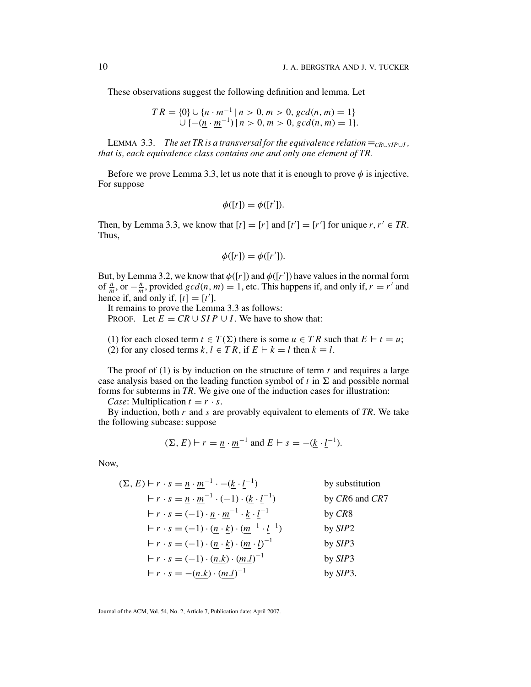These observations suggest the following definition and lemma. Let

$$
TR = \{ \underline{0} \} \cup \{ \underline{n} \cdot \underline{m}^{-1} \mid n > 0, m > 0, \gcd(n, m) = 1 \} \cup \{ -(\underline{n} \cdot \underline{m}^{-1}) \mid n > 0, m > 0, \gcd(n, m) = 1 \}.
$$

LEMMA 3.3. *The set TR is a transversal for the equivalence relation*  $\equiv_{CR\cup SIP\cup I}$ , *that is, each equivalence class contains one and only one element of TR.*

Before we prove Lemma 3.3, let us note that it is enough to prove  $\phi$  is injective. For suppose

$$
\phi([t]) = \phi([t']).
$$

Then, by Lemma 3.3, we know that  $[t] = [r]$  and  $[t'] = [r']$  for unique  $r, r' \in TR$ . Thus,

$$
\phi([r]) = \phi([r']).
$$

But, by Lemma 3.2, we know that  $\phi([r])$  and  $\phi([r'])$  have values in the normal form of  $\frac{n}{m}$ , or  $-\frac{n}{m}$ , provided *gcd*(*n*, *m*) = 1, etc. This happens if, and only if, *r* = *r'* and hence if, and only if,  $[t] = [t']$ .

It remains to prove the Lemma 3.3 as follows: PROOF. Let  $E = CR \cup SIP \cup I$ . We have to show that:

(1) for each closed term  $t \in T(\Sigma)$  there is some  $u \in TR$  such that  $E \vdash t = u$ ; (2) for any closed terms  $k, l \in TR$ , if  $E \vdash k = l$  then  $k \equiv l$ .

The proof of (1) is by induction on the structure of term *t* and requires a large case analysis based on the leading function symbol of  $t$  in  $\Sigma$  and possible normal forms for subterms in *TR*. We give one of the induction cases for illustration:

*Case*: Multiplication  $t = r \cdot s$ .

By induction, both *r* and *s* are provably equivalent to elements of *TR*. We take the following subcase: suppose

$$
(\Sigma, E) \vdash r = \underline{n} \cdot \underline{m}^{-1}
$$
 and  $E \vdash s = -(\underline{k} \cdot \underline{l}^{-1}).$ 

Now,

$$
(\Sigma, E) \vdash r \cdot s = \underline{n} \cdot \underline{m}^{-1} \cdot -(\underline{k} \cdot \underline{l}^{-1}) \qquad \text{by substitution}
$$
\n
$$
\vdash r \cdot s = \underline{n} \cdot \underline{m}^{-1} \cdot (-1) \cdot (\underline{k} \cdot \underline{l}^{-1}) \qquad \text{by } CR6 \text{ and } CR7
$$
\n
$$
\vdash r \cdot s = (-1) \cdot \underline{n} \cdot \underline{m}^{-1} \cdot \underline{k} \cdot \underline{l}^{-1} \qquad \text{by } CR8
$$
\n
$$
\vdash r \cdot s = (-1) \cdot (\underline{n} \cdot \underline{k}) \cdot (\underline{m}^{-1} \cdot \underline{l}^{-1}) \qquad \text{by } SIP2
$$
\n
$$
\vdash r \cdot s = (-1) \cdot (\underline{n} \cdot \underline{k}) \cdot (\underline{m} \cdot \underline{l})^{-1} \qquad \text{by } SIP3
$$
\n
$$
\vdash r \cdot s = (-1) \cdot (\underline{n} \cdot \underline{k}) \cdot (\underline{m} \cdot \underline{l})^{-1} \qquad \text{by } SIP3
$$
\n
$$
\vdash r \cdot s = -(\underline{n} \cdot \underline{k}) \cdot (\underline{m} \cdot \underline{l})^{-1} \qquad \text{by } SIP3
$$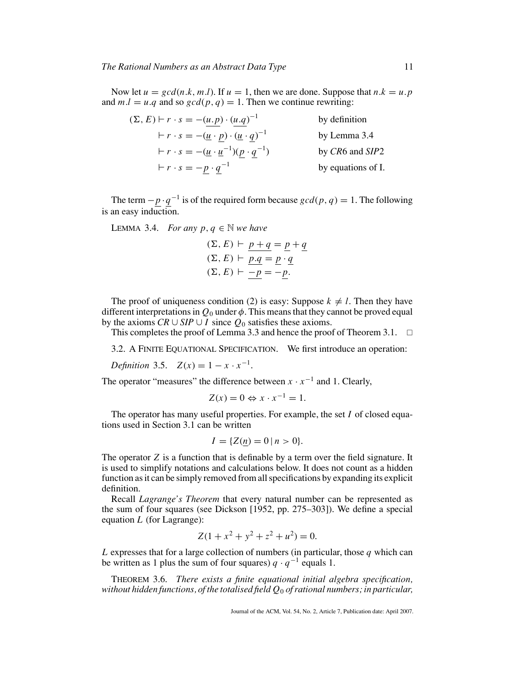Now let  $u = \gcd(n,k, m.l)$ . If  $u = 1$ , then we are done. Suppose that  $n.k = u.p$ and  $m.l = u.q$  and so  $gcd(p,q) = 1$ . Then we continue rewriting:

| $(\Sigma, E) \vdash r \cdot s = -(u.p) \cdot (u.q)^{-1}$                         | by definition      |
|----------------------------------------------------------------------------------|--------------------|
| $\vdash r \cdot s = -(\underline{u} \cdot p) \cdot (\underline{u} \cdot q)^{-1}$ | by Lemma 3.4       |
| $\vdash r \cdot s = -(\underline{u} \cdot \underline{u}^{-1})(p \cdot q^{-1})$   | by CR6 and SIP2    |
| $r \cdot s = -p \cdot q^{-1}$                                                    | by equations of I. |

The term  $-\underline{p} \cdot \underline{q}^{-1}$  is of the required form because  $gcd(p, q) = 1$ . The following is an easy induction.

LEMMA 3.4. *For any*  $p, q \in \mathbb{N}$  *we have* 

$$
(\Sigma, E) \vdash p + q = p + q
$$
  

$$
(\Sigma, E) \vdash p.q = p \cdot q
$$
  

$$
(\Sigma, E) \vdash -p = -p.
$$

The proof of uniqueness condition (2) is easy: Suppose  $k \neq l$ . Then they have different interpretations in  $Q_0$  under  $\phi$ . This means that they cannot be proved equal by the axioms  $CR \cup SIP \cup I$  since  $Q_0$  satisfies these axioms.

This completes the proof of Lemma 3.3 and hence the proof of Theorem 3.1.  $\Box$ 

3.2. A FINITE EQUATIONAL SPECIFICATION. We first introduce an operation:

*Definition* 3.5.  $Z(x) = 1 - x \cdot x^{-1}$ .

The operator "measures" the difference between  $x \cdot x^{-1}$  and 1. Clearly,

$$
Z(x) = 0 \Leftrightarrow x \cdot x^{-1} = 1.
$$

The operator has many useful properties. For example, the set *I* of closed equations used in Section 3.1 can be written

$$
I = \{ Z(\underline{n}) = 0 \, | \, n > 0 \}.
$$

The operator *Z* is a function that is definable by a term over the field signature. It is used to simplify notations and calculations below. It does not count as a hidden function as it can be simply removed from all specifications by expanding its explicit definition.

Recall *Lagrange's Theorem* that every natural number can be represented as the sum of four squares (see Dickson [1952, pp. 275–303]). We define a special equation *L* (for Lagrange):

$$
Z(1 + x^2 + y^2 + z^2 + u^2) = 0.
$$

*L* expresses that for a large collection of numbers (in particular, those *q* which can be written as 1 plus the sum of four squares)  $q \cdot q^{-1}$  equals 1.

THEOREM 3.6. *There exists a finite equational initial algebra specification, without hidden functions, of the totalised field Q*<sup>0</sup> *of rational numbers; in particular,*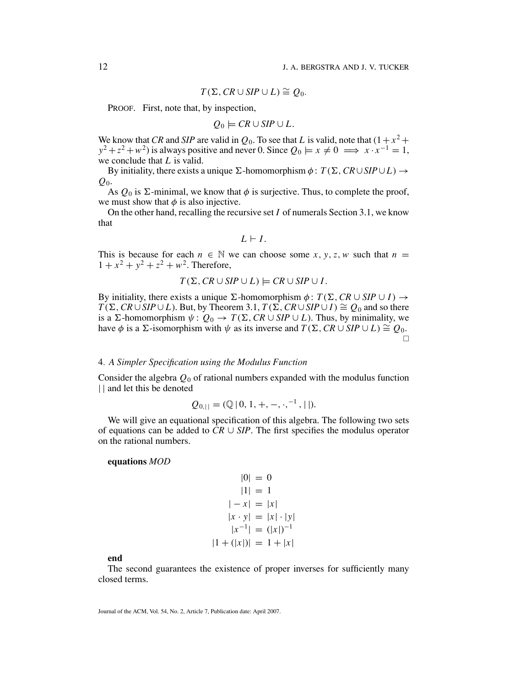$$
T(\Sigma, \mathit{CR} \cup \mathit{SIP} \cup L) \cong Q_0.
$$

PROOF. First, note that, by inspection,

$$
Q_0 \models \mathit{CR} \cup \mathit{SIP} \cup L.
$$

We know that *CR* and *SIP* are valid in  $Q_0$ . To see that *L* is valid, note that  $(1 + x^2 +$  $y^2 + z^2 + w^2$ ) is always positive and never 0. Since  $Q_0 \models x \neq 0 \implies x \cdot x^{-1} = 1$ , we conclude that *L* is valid.

By initiality, there exists a unique  $\Sigma$ -homomorphism  $\phi$ :  $T(\Sigma, CR \cup SIP \cup L) \rightarrow$ *Q*0.

As  $Q_0$  is  $\Sigma$ -minimal, we know that  $\phi$  is surjective. Thus, to complete the proof, we must show that  $\phi$  is also injective.

On the other hand, recalling the recursive set *I* of numerals Section 3.1, we know that

$$
L \vdash I.
$$

This is because for each  $n \in \mathbb{N}$  we can choose some *x*, *y*, *z*, *w* such that  $n =$  $1 + x^2 + y^2 + z^2 + w^2$ . Therefore,

$$
T(\Sigma, CR \cup SIP \cup L) \models CR \cup SIP \cup I.
$$

By initiality, there exists a unique  $\Sigma$ -homomorphism  $\phi$ :  $T(\Sigma, CR \cup SIP \cup I) \rightarrow$  $T(\Sigma, CR \cup SIP \cup L)$ . But, by Theorem 3.1,  $T(\Sigma, CR \cup SIP \cup I) \cong Q_0$  and so there is a  $\Sigma$ -homomorphism  $\psi: Q_0 \to T(\Sigma, CR \cup SIP \cup L)$ . Thus, by minimality, we have  $\phi$  is a  $\Sigma$ -isomorphism with  $\psi$  as its inverse and  $T(\Sigma, CR \cup SIP \cup L) \cong Q_0$ .  $\Box$ 

# 4*. A Simpler Specification using the Modulus Function*

Consider the algebra *Q*<sup>0</sup> of rational numbers expanded with the modulus function || and let this be denoted

$$
Q_{0,||} = (\mathbb{Q} \,|\, 0, 1, +, -, \cdot, ^{-1}, ||).
$$

We will give an equational specification of this algebra. The following two sets of equations can be added to  $CR \cup SIP$ . The first specifies the modulus operator on the rational numbers.

#### **equations** *MOD*

$$
|0| = 0
$$
  
\n
$$
|1| = 1
$$
  
\n
$$
|-x| = |x|
$$
  
\n
$$
|x \cdot y| = |x| \cdot |y|
$$
  
\n
$$
|x^{-1}| = (|x|)^{-1}
$$
  
\n
$$
|1 + (|x|)| = 1 + |x|
$$

**end**

The second guarantees the existence of proper inverses for sufficiently many closed terms.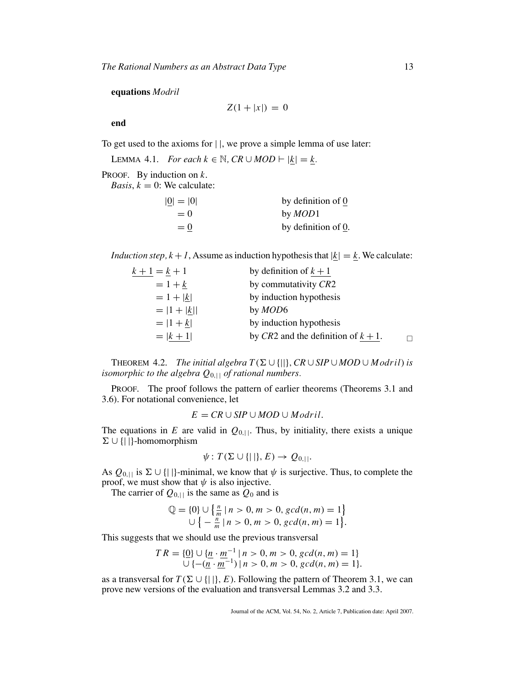### **equations** *Modril*

 $Z(1 + |x|) = 0$ 

**end**

To get used to the axioms for | |, we prove a simple lemma of use later:

LEMMA 4.1. *For each*  $k \in \mathbb{N}$ ,  $CR \cup MOD \vdash |\underline{k}| = \underline{k}$ .

PROOF. By induction on *k*.

*Basis*,  $k = 0$ : We calculate:

| $ 0  =  0 $ | by definition of 0  |
|-------------|---------------------|
| $= 0$       | by <i>MOD</i> 1     |
| $= 0$       | by definition of 0. |

*Induction step, k* + *1*, Assume as induction hypothesis that  $|\underline{k}| = \underline{k}$ . We calculate:

| $k + 1 = k + 1$ | by definition of $k + 1$               |  |
|-----------------|----------------------------------------|--|
| $= 1 + k$       | by commutativity CR2                   |  |
| $= 1 +  k $     | by induction hypothesis                |  |
| $=  1 +  k  $   | by <i>MOD</i> 6                        |  |
| $=  1 + k $     | by induction hypothesis                |  |
| $=  k + 1 $     | by CR2 and the definition of $k + 1$ . |  |

**THEOREM 4.2.** *The initial algebra*  $T(\Sigma \cup \{||}, CR \cup SIP \cup MOD \cup Modri)$  *is isomorphic to the algebra*  $Q_{0,1}$  *of rational numbers.* 

PROOF. The proof follows the pattern of earlier theorems (Theorems 3.1 and 3.6). For notational convenience, let

 $E = CR \cup SIP \cup MOD \cup Modril$ .

The equations in *E* are valid in  $Q_{0,||}$ . Thus, by initiality, there exists a unique  $\Sigma \cup \{|\ | \}$ -homomorphism

$$
\psi: T(\Sigma \cup \{||\}, E) \to Q_{0,||}.
$$

As  $Q_{0,||}$  is  $\Sigma \cup \{||\}$ -minimal, we know that  $\psi$  is surjective. Thus, to complete the proof, we must show that  $\psi$  is also injective.

The carrier of  $Q_{0,||}$  is the same as  $Q_0$  and is

$$
\mathbb{Q} = \{0\} \cup \left\{ \frac{n}{m} \mid n > 0, m > 0, \gcd(n, m) = 1 \right\} \\ \cup \left\{ -\frac{n}{m} \mid n > 0, m > 0, \gcd(n, m) = 1 \right\}.
$$

This suggests that we should use the previous transversal

$$
TR = \{ \underline{0} \} \cup \{ \underline{n} \cdot \underline{m}^{-1} \mid n > 0, m > 0, \gcd(n, m) = 1 \} \cup \{ -(\underline{n} \cdot \underline{m}^{-1}) \mid n > 0, m > 0, \gcd(n, m) = 1 \}.
$$

as a transversal for  $T(\Sigma \cup \{||\}, E)$ . Following the pattern of Theorem 3.1, we can prove new versions of the evaluation and transversal Lemmas 3.2 and 3.3.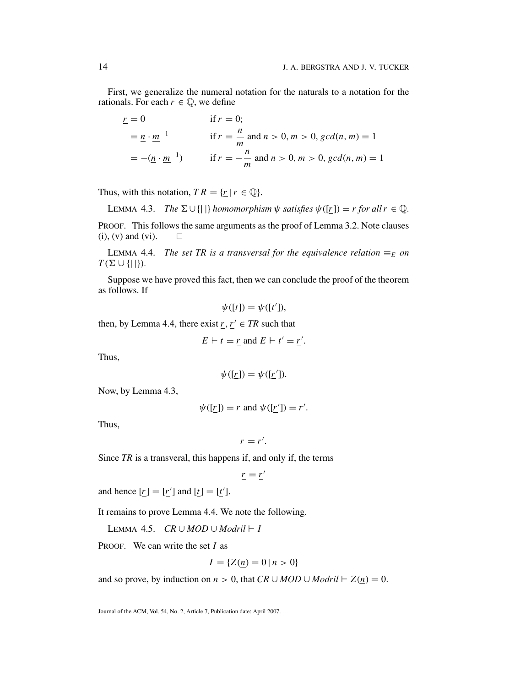First, we generalize the numeral notation for the naturals to a notation for the rationals. For each  $r \in \mathbb{Q}$ , we define

$$
\underline{r} = 0 \quad \text{if } r = 0; \\
\underline{m} - \underline{n} \cdot \underline{m}^{-1} \quad \text{if } r = \frac{n}{m} \text{ and } n > 0, m > 0, \gcd(n, m) = 1 \\
= -(\underline{n} \cdot \underline{m}^{-1}) \quad \text{if } r = -\frac{n}{m} \text{ and } n > 0, m > 0, \gcd(n, m) = 1
$$

Thus, with this notation,  $TR = \{r \mid r \in \mathbb{Q}\}.$ 

LEMMA 4.3. *The*  $\Sigma \cup \{|\}$  *homomorphism*  $\psi$  *satisfies*  $\psi([r]) = r$  *for all*  $r \in \mathbb{Q}$ *.* PROOF. This follows the same arguments as the proof of Lemma 3.2. Note clauses  $(i)$ ,  $(v)$  and  $(vi)$ .  $\Box$ 

LEMMA 4.4. *The set TR is a transversal for the equivalence relation*  $\equiv_E$  *on*  $T(\Sigma \cup \{|\}|).$ 

Suppose we have proved this fact, then we can conclude the proof of the theorem as follows. If

$$
\psi([t]) = \psi([t']).
$$

then, by Lemma 4.4, there exist  $r, r' \in TR$  such that

 $E \vdash t = \underline{r}$  and  $E \vdash t' = \underline{r}'$ .

Thus,

$$
\psi([r]) = \psi([r']).
$$

Now, by Lemma 4.3,

$$
\psi([r]) = r \text{ and } \psi([r']) = r'.
$$

Thus,

$$
r=r'.
$$

Since *TR* is a transveral, this happens if, and only if, the terms

$$
\underline{r} = \underline{r}'
$$

and hence  $[r] = [r']$  and  $[t] = [t']$ .

It remains to prove Lemma 4.4. We note the following.

LEMMA 4.5.  $CR \cup MOD \cup Modril \vdash I$ 

PROOF. We can write the set *I* as

$$
I = \{ Z(\underline{n}) = 0 \, | \, n > 0 \}
$$

and so prove, by induction on *n* > 0, that *CR* ∪ *MOD* ∪ *Modril*  $\vdash$  Z(*n*) = 0.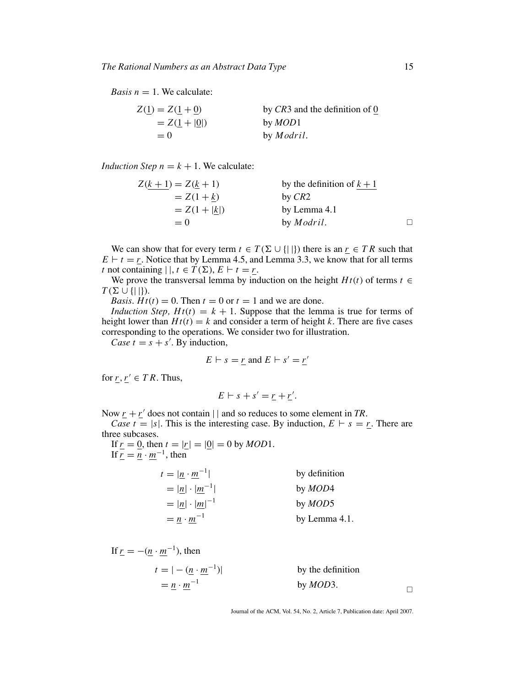*Basis*  $n = 1$ *. We calculate:* 

| $Z(1) = Z(1 + 0)$                      | by $CR3$ and the definition of 0 |
|----------------------------------------|----------------------------------|
| $= Z(\underline{1} +  \underline{0} )$ | by <i>MOD</i> 1                  |
| $= 0$                                  | by <i>Modril</i> .               |

*Induction Step*  $n = k + 1$ *. We calculate:* 

| $Z(k + 1) = Z(k + 1)$ | by the definition of $k + 1$ |   |
|-----------------------|------------------------------|---|
| $= Z(1 + k)$          | by $CR2$                     |   |
| $= Z(1 +  k )$        | by Lemma 4.1                 |   |
| $= 0$                 | by <i>Modril</i> .           | П |

We can show that for every term  $t \in T(\Sigma \cup \{||\})$  there is an  $r \in T R$  such that  $E \vdash t = r$ . Notice that by Lemma 4.5, and Lemma 3.3, we know that for all terms *t* not containing  $|\,|, t \in T(\Sigma), E \vdash t = r$ .

We prove the transversal lemma by induction on the height  $Ht(t)$  of terms  $t \in$  $T(\Sigma \cup \{|\}|).$ 

*Basis*.  $Ht(t) = 0$ . Then  $t = 0$  or  $t = 1$  and we are done.

*Induction Step,*  $Ht(t) = k + 1$ *. Suppose that the lemma is true for terms of* height lower than  $Ht(t) = k$  and consider a term of height *k*. There are five cases corresponding to the operations. We consider two for illustration.

*Case t* =  $s + s'$ . By induction,

$$
E \vdash s = \underline{r} \text{ and } E \vdash s' = \underline{r'}
$$

for  $r, r' \in TR$ . Thus,

$$
E \vdash s + s' = \underline{r} + \underline{r'}.
$$

Now  $r + r'$  does not contain  $||$  and so reduces to some element in *TR*.

*Case t* = |*s*|. This is the interesting case. By induction,  $E \vdash s = r$ . There are three subcases.

If  $r = 0$ , then  $t = |r| = |0| = 0$  by *MOD*1. If  $\overline{r} = \overline{n} \cdot \overline{m}^{-1}$ , then

| $t =  n \cdot m^{-1} $                         | by definition   |
|------------------------------------------------|-----------------|
| $=  \underline{n}  \cdot  \underline{m}^{-1} $ | by <i>MOD</i> 4 |
| $=  n  \cdot  m ^{-1}$                         | by <i>MOD</i> 5 |
| $= n \cdot m^{-1}$                             | by Lemma 4.1.   |

If 
$$
\underline{r} = -(\underline{n} \cdot \underline{m}^{-1})
$$
, then  
\n $t = |-(\underline{n} \cdot \underline{m}^{-1})|$  by the definition  
\n $= \underline{n} \cdot \underline{m}^{-1}$  by *MOD3*.

Journal of the ACM, Vol. 54, No. 2, Article 7, Publication date: April 2007.

 $\Box$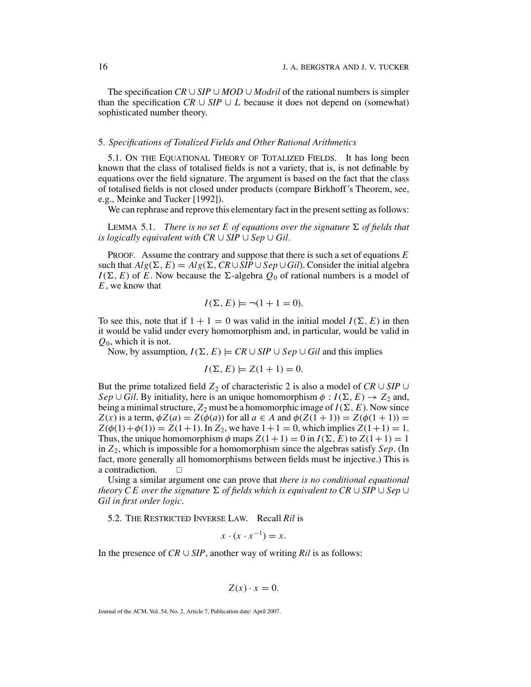The specification *CR* ∪ *SIP* ∪ *MOD* ∪ *Modril* of the rational numbers is simpler than the specification  $CR \cup SIP \cup L$  because it does not depend on (somewhat) sophisticated number theory.

## 5*. Specifications of Totalized Fields and Other Rational Arithmetics*

5.1. ON THE EQUATIONAL THEORY OF TOTALIZED FIELDS. It has long been known that the class of totalised fields is not a variety, that is, is not definable by equations over the field signature. The argument is based on the fact that the class of totalised fields is not closed under products (compare Birkhoff's Theorem, see, e.g., Meinke and Tucker [1992]).

We can rephrase and reprove this elementary fact in the present setting as follows:

LEMMA 5.1. *There is no set E of equations over the signature*  $\Sigma$  *of fields that is logically equivalent with CR* ∪ *SIP* ∪ *Sep* ∪ *Gil.*

PROOF. Assume the contrary and suppose that there is such a set of equations *E* such that  $Alg(\Sigma, E) = Alg(\Sigma, CR \cup SIP \cup Sep \cup Gil)$ . Consider the initial algebra  $I(\Sigma, E)$  of *E*. Now because the  $\Sigma$ -algebra  $Q_0$  of rational numbers is a model of *E*, we know that

$$
I(\Sigma, E) \models \neg (1 + 1 = 0).
$$

To see this, note that if  $1 + 1 = 0$  was valid in the initial model  $I(\Sigma, E)$  in then it would be valid under every homomorphism and, in particular, would be valid in *Q*0, which it is not.

Now, by assumption,  $I(\Sigma, E) \models \text{CR} \cup \text{SIP} \cup \text{Sep} \cup \text{Gil}$  and this implies

$$
I(\Sigma, E) \models Z(1+1) = 0.
$$

But the prime totalized field  $Z_2$  of characteristic 2 is also a model of  $CR \cup SIP \cup$ *Sep*  $\cup$  *Gil*. By initiality, here is an unique homomorphism  $\phi$  :  $I(\Sigma, E) \rightarrow Z_2$  and, being a minimal structure,  $Z_2$  must be a homomorphic image of  $I(\Sigma, E)$ . Now since *Z*(*x*) is a term,  $\phi Z(a) = Z(\phi(a))$  for all  $a \in A$  and  $\phi(Z(1+1)) = Z(\phi(1+1)) =$  $Z(\phi(1) + \phi(1)) = Z(1+1)$ . In  $Z_2$ , we have  $1+1 = 0$ , which implies  $Z(1+1) = 1$ . Thus, the unique homomorphism  $\phi$  maps  $Z(1+1) = 0$  in  $I(\Sigma, E)$  to  $Z(1+1) = 1$ in *Z*2, which is impossible for a homomorphism since the algebras satisfy *Sep*. (In fact, more generally all homomorphisms between fields must be injective.) This is a contradiction.  $\Box$ 

Using a similar argument one can prove that *there is no conditional equational*  $t$ heory  $\overline{C}E$  over the signature  $\Sigma$  of fields which is equivalent to  $\overline{C}R\cup\overline{S}lP\cup\overline{S}e$ p ∪ *Gil in first order logic*.

5.2. THE RESTRICTED INVERSE LAW. Recall *Ril* is

$$
x \cdot (x \cdot x^{-1}) = x.
$$

In the presence of  $CR \cup SIP$ , another way of writing  $Ril$  is as follows:

$$
Z(x) \cdot x = 0.
$$

Journal of the ACM, Vol. 54, No. 2, Article 7, Publication date: April 2007.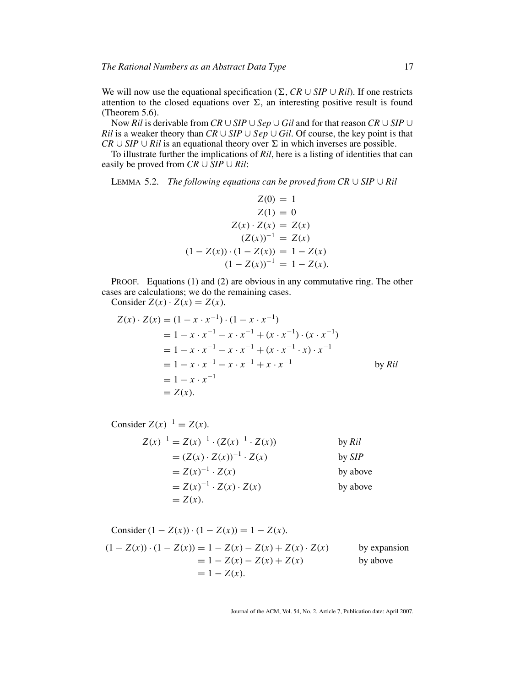We will now use the equational specification ( $\Sigma$ , *CR* ∪ *SIP* ∪ *Ril*). If one restricts attention to the closed equations over  $\Sigma$ , an interesting positive result is found (Theorem 5.6).

Now *Ril* is derivable from *CR* ∪ *SIP* ∪ *Sep* ∪ *Gil* and for that reason *CR* ∪ *SIP* ∪ *Ril* is a weaker theory than  $CR \cup SIP \cup Sep \cup Gil$ . Of course, the key point is that  $CR \cup SIP \cup Ril$  is an equational theory over  $\Sigma$  in which inverses are possible.

To illustrate further the implications of *Ril*, here is a listing of identities that can easily be proved from  $CR \cup SIP \cup Ril$ :

LEMMA 5.2. *The following equations can be proved from CR* ∪ *SIP* ∪ *Ril*

$$
Z(0) = 1
$$
  
\n
$$
Z(1) = 0
$$
  
\n
$$
Z(x) \cdot Z(x) = Z(x)
$$
  
\n
$$
(Z(x))^{-1} = Z(x)
$$
  
\n
$$
(1 - Z(x)) \cdot (1 - Z(x)) = 1 - Z(x)
$$
  
\n
$$
(1 - Z(x))^{-1} = 1 - Z(x).
$$

PROOF. Equations (1) and (2) are obvious in any commutative ring. The other cases are calculations; we do the remaining cases.

Consider  $Z(x) \cdot Z(x) = Z(x)$ .

$$
Z(x) \cdot Z(x) = (1 - x \cdot x^{-1}) \cdot (1 - x \cdot x^{-1})
$$
  
= 1 - x \cdot x^{-1} - x \cdot x^{-1} + (x \cdot x^{-1}) \cdot (x \cdot x^{-1})  
= 1 - x \cdot x^{-1} - x \cdot x^{-1} + (x \cdot x^{-1} \cdot x) \cdot x^{-1}  
= 1 - x \cdot x^{-1} - x \cdot x^{-1} + x \cdot x^{-1} \qquad \text{by } \text{Ril}  
= 1 - x \cdot x^{-1}  
= Z(x).

Consider 
$$
Z(x)^{-1} = Z(x)
$$
.  
\n
$$
Z(x)^{-1} = Z(x)^{-1} \cdot (Z(x)^{-1} \cdot Z(x)) \qquad \text{by } \text{Ril}
$$
\n
$$
= (Z(x) \cdot Z(x))^{-1} \cdot Z(x) \qquad \text{by } \text{SIP}
$$
\n
$$
= Z(x)^{-1} \cdot Z(x) \qquad \text{by above}
$$
\n
$$
= Z(x)^{-1} \cdot Z(x) \cdot Z(x) \qquad \text{by above}
$$
\n
$$
= Z(x).
$$

Consider 
$$
(1 - Z(x)) \cdot (1 - Z(x)) = 1 - Z(x)
$$
.  
\n $(1 - Z(x)) \cdot (1 - Z(x)) = 1 - Z(x) - Z(x) + Z(x) \cdot Z(x)$  by expansion  
\n $= 1 - Z(x) - Z(x) + Z(x)$  by above  
\n $= 1 - Z(x)$ .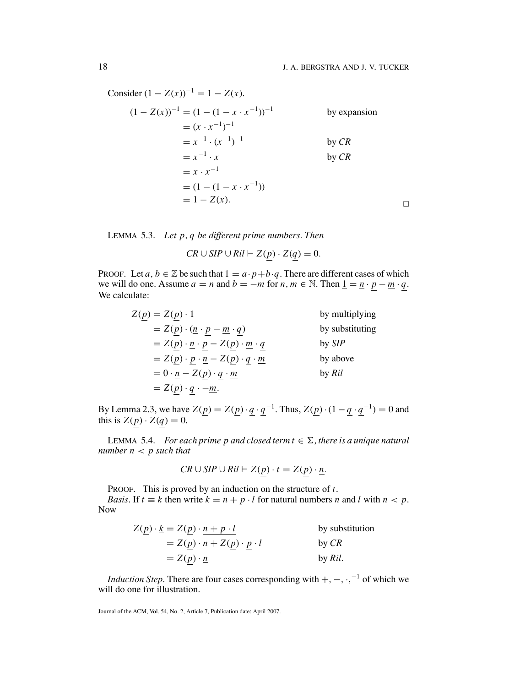Consider  $(1 - Z(x))^{-1} = 1 - Z(x)$ .

$$
(1 - Z(x))^{-1} = (1 - (1 - x \cdot x^{-1}))^{-1}
$$
 by expansion  
\n
$$
= (x \cdot x^{-1})^{-1}
$$
 by *CR*  
\n
$$
= x^{-1} \cdot (x^{-1})^{-1}
$$
 by *CR*  
\n
$$
= x^{-1} \cdot x
$$
 by *CR*  
\n
$$
= x \cdot x^{-1}
$$
  
\n
$$
= (1 - (1 - x \cdot x^{-1}))
$$
  
\n
$$
= 1 - Z(x).
$$

LEMMA 5.3. *Let p*, *q be different prime numbers. Then*

 $CR \cup SIP \cup Ril \vdash Z(p) \cdot Z(q) = 0.$ 

PROOF. Let *a*,  $b \in \mathbb{Z}$  be such that  $1 = a \cdot p + b \cdot q$ . There are different cases of which we will do one. Assume  $a = n$  and  $b = -m$  for  $n, m \in \mathbb{N}$ . Then  $\underline{1} = \underline{n} \cdot p - \underline{m} \cdot q$ . We calculate:

| $Z(p) = Z(p) \cdot 1$                                                   | by multiplying  |
|-------------------------------------------------------------------------|-----------------|
| $= Z(p) \cdot (p - m \cdot q)$                                          | by substituting |
| $= Z(p) \cdot \underline{n} \cdot p - Z(p) \cdot \underline{m} \cdot q$ | by <i>SIP</i>   |
| $= Z(p) \cdot p \cdot \underline{n} - Z(p) \cdot q \cdot \underline{m}$ | by above        |
| $= 0 \cdot \underline{n} - Z(p) \cdot q \cdot \underline{m}$            | by Ril          |
| $= Z(p) \cdot q \cdot -m.$                                              |                 |

By Lemma 2.3, we have  $Z(\underline{p}) = Z(\underline{p}) \cdot \underline{q} \cdot \underline{q}^{-1}$ . Thus,  $Z(\underline{p}) \cdot (1 - \underline{q} \cdot \underline{q}^{-1}) = 0$  and this is  $Z(p) \cdot Z(q) = 0$ .

LEMMA 5.4. *For each prime p and closed term*  $t \in \Sigma$ *, there is a unique natural number n* < *p such that*

$$
CR \cup SIP \cup Ril \vdash Z(p) \cdot t = Z(p) \cdot \underline{n}.
$$

PROOF. This is proved by an induction on the structure of *t*.

*Basis*. If  $t \equiv k$  then write  $k = n + p \cdot l$  for natural numbers *n* and *l* with  $n < p$ . Now

$$
Z(\underline{p}) \cdot \underline{k} = Z(\underline{p}) \cdot \underline{n + p \cdot l} \qquad \text{by substitution}
$$
  
=  $Z(\underline{p}) \cdot \underline{n} + Z(\underline{p}) \cdot \underline{p} \cdot \underline{l} \qquad \text{by } CR$   
=  $Z(\underline{p}) \cdot \underline{n} \qquad \text{by } Ril.$ 

*Induction Step*. There are four cases corresponding with  $+$ ,  $-$ ,  $\cdot$ ,  $^{-1}$  of which we will do one for illustration.

Journal of the ACM, Vol. 54, No. 2, Article 7, Publication date: April 2007.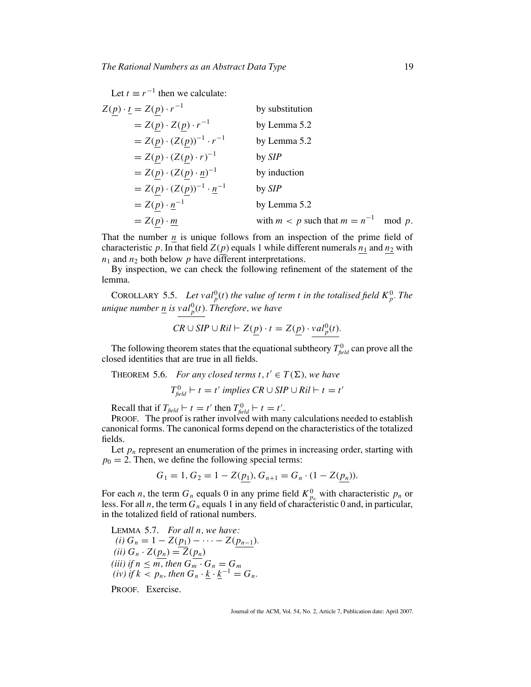Let  $t \equiv r^{-1}$  then we calculate:

$$
Z(\underline{p}) \cdot \underline{t} = Z(\underline{p}) \cdot r^{-1}
$$
 by substitution  
\n
$$
= Z(\underline{p}) \cdot Z(\underline{p}) \cdot r^{-1}
$$
 by Lemma 5.2  
\n
$$
= Z(\underline{p}) \cdot (Z(\underline{p}))^{-1} \cdot r^{-1}
$$
 by Lemma 5.2  
\n
$$
= Z(\underline{p}) \cdot (Z(\underline{p}) \cdot r)^{-1}
$$
 by *SIP*  
\n
$$
= Z(\underline{p}) \cdot (Z(\underline{p}) \cdot \underline{n})^{-1}
$$
 by induction  
\n
$$
= Z(\underline{p}) \cdot (Z(\underline{p}))^{-1} \cdot \underline{n}^{-1}
$$
 by *SIP*  
\n
$$
= Z(\underline{p}) \cdot \underline{n}^{-1}
$$
 by Lemma 5.2  
\n
$$
= Z(\underline{p}) \cdot \underline{m}
$$
 with  $m < p$  such that  $m = n^{-1}$  mod p.

That the number  $n$  is unique follows from an inspection of the prime field of characteristic p. In that field  $Z(p)$  equals 1 while different numerals  $n_1$  and  $n_2$  with  $n_1$  and  $n_2$  both below  $p$  have different interpretations.

By inspection, we can check the following refinement of the statement of the lemma.

**COROLLARY 5.5.** Let val<sup>0</sup><sub>p</sub>(t) the value of term t in the totalised field  $K_p^0$ . The *unique number n is val*<sup>0</sup> *<sup>p</sup>*(*t*)*. Therefore, we have*

$$
CR \cup SIP \cup Ril \vdash Z(\underline{p}) \cdot t = Z(\underline{p}) \cdot val_{p}^{0}(t).
$$

The following theorem states that the equational subtheory  $T_{\text{field}}^0$  can prove all the closed identities that are true in all fields.

THEOREM 5.6. *For any closed terms*  $t, t' \in T(\Sigma)$ *, we have* 

$$
T_{\text{field}}^0 \vdash t = t' \text{ implies } CR \cup SIP \cup Ril \vdash t = t'
$$

Recall that if  $T_{\text{field}} \vdash t = t'$  then  $T_{\text{field}}^0 \vdash t = t'$ .

PROOF. The proof is rather involved with many calculations needed to establish canonical forms. The canonical forms depend on the characteristics of the totalized fields.

Let  $p_n$  represent an enumeration of the primes in increasing order, starting with  $p_0 = 2$ . Then, we define the following special terms:

$$
G_1 = 1, G_2 = 1 - Z(\underline{p_1}), G_{n+1} = G_n \cdot (1 - Z(\underline{p_n})).
$$

For each *n*, the term  $G_n$  equals 0 in any prime field  $K_{p_n}^0$  with characteristic  $p_n$  or less. For all *n*, the term  $G_n$  equals 1 in any field of characteristic 0 and, in particular, in the totalized field of rational numbers.

LEMMA 5.7. For all *n*, we have:  
\n(i) 
$$
G_n = 1 - Z(p_1) - \cdots - Z(p_{n-1})
$$
.  
\n(ii)  $G_n \cdot Z(p_n) = \overline{Z(p_n)}$   
\n(iii) if  $n \le m$ , then  $G_m \cdot G_n = G_m$   
\n(iv) if  $k < p_n$ , then  $G_n \cdot \underline{k} \cdot \underline{k}^{-1} = G_n$ .

PROOF. Exercise.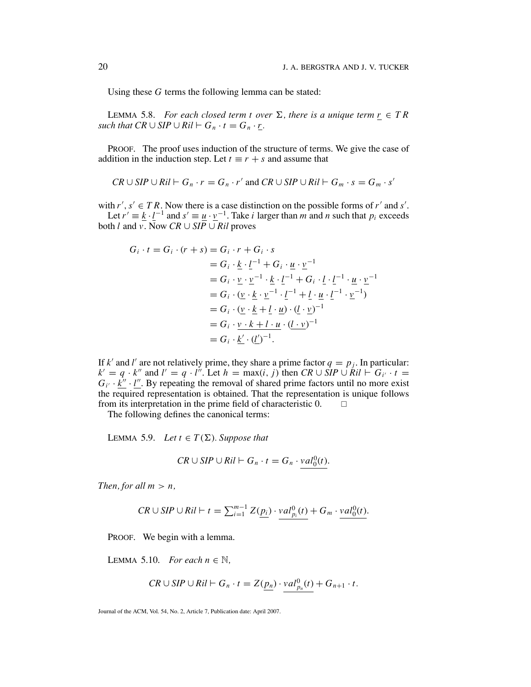Using these *G* terms the following lemma can be stated:

LEMMA 5.8. *For each closed term t over*  $\Sigma$ , there is a unique term  $r \in TR$ *such that*  $CR \cup SIP \cup Ril \vdash G_n \cdot t = G_n \cdot r$ *.* 

PROOF. The proof uses induction of the structure of terms. We give the case of addition in the induction step. Let  $t \equiv r + s$  and assume that

$$
CR \cup SIP \cup Ril \vdash G_n \cdot r = G_n \cdot r' \text{ and } CR \cup SIP \cup Ril \vdash G_m \cdot s = G_m \cdot s'
$$

with  $r'$ ,  $s' \in TR$ . Now there is a case distinction on the possible forms of  $r'$  and  $s'$ . Let  $r' \equiv \underline{k} \cdot \underline{l}^{-1}$  and  $s' \equiv \underline{u} \cdot \underline{v}^{-1}$ . Take *i* larger than *m* and *n* such that  $p_i$  exceeds both *l* and *v*. Now *CR* ∪ *SIP* ∪ *Ril* proves

$$
G_i \cdot t = G_i \cdot (r+s) = G_i \cdot r + G_i \cdot s
$$
  
=  $G_i \cdot \underline{k} \cdot \underline{l}^{-1} + G_i \cdot \underline{u} \cdot \underline{v}^{-1}$   
=  $G_i \cdot \underline{v} \cdot \underline{v}^{-1} \cdot \underline{k} \cdot \underline{l}^{-1} + G_i \cdot \underline{l} \cdot \underline{l} \cdot \underline{l}^{-1} \cdot \underline{u} \cdot \underline{v}^{-1}$   
=  $G_i \cdot (\underline{v} \cdot \underline{k} \cdot \underline{v}^{-1} \cdot \underline{l}^{-1} + \underline{l} \cdot \underline{u} \cdot \underline{l}^{-1} \cdot \underline{v}^{-1})$   
=  $G_i \cdot (\underline{v} \cdot \underline{k} + \underline{l} \cdot \underline{u}) \cdot (\underline{l} \cdot \underline{v})^{-1}$   
=  $G_i \cdot \underline{v} \cdot k + l \cdot \underline{u} \cdot (\underline{l} \cdot \underline{v})^{-1}$   
=  $G_i \cdot \underline{k'} \cdot (\underline{l'})^{-1}$ .

If k' and l' are not relatively prime, they share a prime factor  $q = p_j$ . In particular:  $k' = q \cdot k''$  and  $l' = q \cdot l''$ . Let  $h = \max(i, j)$  then  $CR \cup \overline{SIP} \cup \overline{Ril} \vdash G_{i'} \cdot t =$  $G_{i'} \cdot \underline{k''} \cdot l''$ . By repeating the removal of shared prime factors until no more exist the required representation is obtained. That the representation is unique follows from its interpretation in the prime field of characteristic 0.  $\Box$ 

The following defines the canonical terms:

LEMMA 5.9. *Let*  $t \in T(\Sigma)$ . Suppose that

$$
CR \cup SIP \cup Ril \vdash G_n \cdot t = G_n \cdot val_0^0(t).
$$

*Then, for all*  $m > n$ ,

$$
CR \cup SIP \cup Ril \vdash t = \sum_{i=1}^{m-1} Z(\underline{p_i}) \cdot \underline{val}_{p_i}^0(t) + G_m \cdot \underline{val}_0^0(t).
$$

PROOF. We begin with a lemma.

LEMMA 5.10. *For each*  $n \in \mathbb{N}$ ,

$$
CR \cup SIP \cup Ril \vdash G_n \cdot t = Z(\underline{p_n}) \cdot \underline{val}_{p_n}^0(t) + G_{n+1} \cdot t.
$$

Journal of the ACM, Vol. 54, No. 2, Article 7, Publication date: April 2007.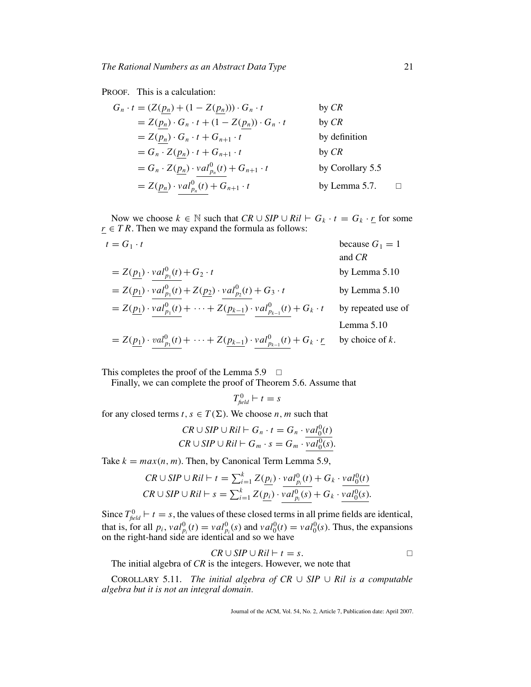PROOF. This is a calculation:

$$
G_n \cdot t = (Z(\underline{p_n}) + (1 - Z(\underline{p_n}))) \cdot G_n \cdot t \qquad \text{by } CR
$$
  
\n
$$
= Z(\underline{p_n}) \cdot G_n \cdot t + (1 - Z(\underline{p_n})) \cdot G_n \cdot t \qquad \text{by } CR
$$
  
\n
$$
= Z(\underline{p_n}) \cdot G_n \cdot t + G_{n+1} \cdot t \qquad \text{by definition}
$$
  
\n
$$
= G_n \cdot Z(\underline{p_n}) \cdot t + G_{n+1} \cdot t \qquad \text{by } CR
$$
  
\n
$$
= G_n \cdot Z(\underline{p_n}) \cdot \frac{\nu a l_{p_n}^0(t) + G_{n+1} \cdot t}{\nu a l_{p_n}^0(t) + G_{n+1} \cdot t} \qquad \text{by Corollary 5.5}
$$
  
\n
$$
= Z(\underline{p_n}) \cdot \frac{\nu a l_{p_n}^0(t) + G_{n+1} \cdot t}{\nu a l_{p_n}^0(t) + G_{n+1} \cdot t} \qquad \text{by Lemma 5.7.} \qquad \Box
$$

Now we choose  $k \in \mathbb{N}$  such that  $CR \cup SIP \cup Ril \vdash G_k \cdot t = G_k \cdot r$  for some *r* ∈ *T R*. Then we may expand the formula as follows:

| $t = G_1 \cdot t$                                                                                        | because $G_1 = 1$  |
|----------------------------------------------------------------------------------------------------------|--------------------|
|                                                                                                          | and CR             |
| $= Z(p_1) \cdot val_{p_1}^0(t) + G_2 \cdot t$                                                            | by Lemma 5.10      |
| $= Z(p_1) \cdot val_{p_1}^0(t) + Z(p_2) \cdot val_{p_2}^0(t) + G_3 \cdot t$                              | by Lemma 5.10      |
| $= Z(p_1) \cdot val_{p_1}^0(t) + \cdots + Z(p_{k-1}) \cdot val_{p_{k-1}}^0(t) + G_k \cdot t$             | by repeated use of |
|                                                                                                          | Lemma $5.10$       |
| $= Z(p_1) \cdot val_{p_1}^0(t) + \cdots + Z(p_{k-1}) \cdot val_{p_{k-1}}^0(t) + G_k \cdot \underline{r}$ | by choice of $k$ . |

This completes the proof of the Lemma 5.9  $\Box$ 

Finally, we can complete the proof of Theorem 5.6. Assume that

$$
T_{\text{field}}^0 \vdash t = s
$$

for any closed terms  $t, s \in T(\Sigma)$ . We choose *n*, *m* such that

$$
CR \cup SIP \cup Ril \vdash G_n \cdot t = G_n \cdot val_0^0(t)
$$
  

$$
CR \cup SIP \cup Ril \vdash G_m \cdot s = G_m \cdot val_0^0(s).
$$

Take  $k = max(n, m)$ . Then, by Canonical Term Lemma 5.9,

$$
CR \cup SIP \cup Ril \vdash t = \sum_{i=1}^{k} Z(\underline{p_i}) \cdot val_{p_i}^0(t) + G_k \cdot val_0^0(t)
$$
  

$$
CR \cup SIP \cup Ril \vdash s = \sum_{i=1}^{k} Z(\underline{p_i}) \cdot val_{p_i}^0(s) + G_k \cdot val_0^0(s).
$$

Since  $T_{\text{field}}^0$   $\vdash t = s$ , the values of these closed terms in all prime fields are identical, that is, for all  $p_i$ ,  $val_{p_i}^0(t) = val_{p_i}^0(s)$  and  $val_0^0(t) = val_0^0(s)$ . Thus, the expansions on the right-hand side are identical and so we have

$$
CR \cup SIP \cup Ril \vdash t = s.
$$

The initial algebra of *CR* is the integers. However, we note that

COROLLARY 5.11. *The initial algebra of CR* ∪ *SIP* ∪ *Ril is a computable algebra but it is not an integral domain.*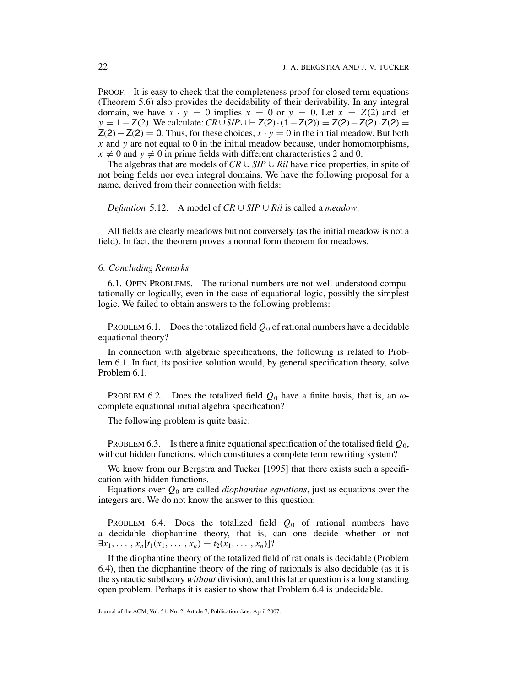PROOF. It is easy to check that the completeness proof for closed term equations (Theorem 5.6) also provides the decidability of their derivability. In any integral domain, we have  $x \cdot y = 0$  implies  $x = 0$  or  $y = 0$ . Let  $x = Z(2)$  and let *y* = 1−*Z*(2). We calculate: *CR*∪*SIP*∪  $\vdash$  **Z**(2) · (1 − **Z**(2)) = **Z**(2) · **Z**(2) · **Z**(2) =  $Z(2) - Z(2) = 0$ . Thus, for these choices,  $x \cdot y = 0$  in the initial meadow. But both *x* and *y* are not equal to 0 in the initial meadow because, under homomorphisms,  $x \neq 0$  and  $y \neq 0$  in prime fields with different characteristics 2 and 0.

The algebras that are models of *CR* ∪ *SIP* ∪ *Ril* have nice properties, in spite of not being fields nor even integral domains. We have the following proposal for a name, derived from their connection with fields:

*Definition* 5.12. A model of *CR* ∪ *SIP* ∪ *Ril* is called a *meadow*.

All fields are clearly meadows but not conversely (as the initial meadow is not a field). In fact, the theorem proves a normal form theorem for meadows.

#### 6*. Concluding Remarks*

6.1. OPEN PROBLEMS. The rational numbers are not well understood computationally or logically, even in the case of equational logic, possibly the simplest logic. We failed to obtain answers to the following problems:

PROBLEM 6.1. Does the totalized field  $Q_0$  of rational numbers have a decidable equational theory?

In connection with algebraic specifications, the following is related to Problem 6.1. In fact, its positive solution would, by general specification theory, solve Problem 6.1.

PROBLEM 6.2. Does the totalized field  $Q_0$  have a finite basis, that is, an  $\omega$ complete equational initial algebra specification?

The following problem is quite basic:

PROBLEM 6.3. Is there a finite equational specification of the totalised field *Q*0, without hidden functions, which constitutes a complete term rewriting system?

We know from our Bergstra and Tucker [1995] that there exists such a specification with hidden functions.

Equations over *Q*<sup>0</sup> are called *diophantine equations*, just as equations over the integers are. We do not know the answer to this question:

PROBLEM 6.4. Does the totalized field  $Q_0$  of rational numbers have a decidable diophantine theory, that is, can one decide whether or not  $\exists x_1, \ldots, x_n [t_1(x_1, \ldots, x_n) = t_2(x_1, \ldots, x_n)]$ ?

If the diophantine theory of the totalized field of rationals is decidable (Problem 6.4), then the diophantine theory of the ring of rationals is also decidable (as it is the syntactic subtheory *without* division), and this latter question is a long standing open problem. Perhaps it is easier to show that Problem 6.4 is undecidable.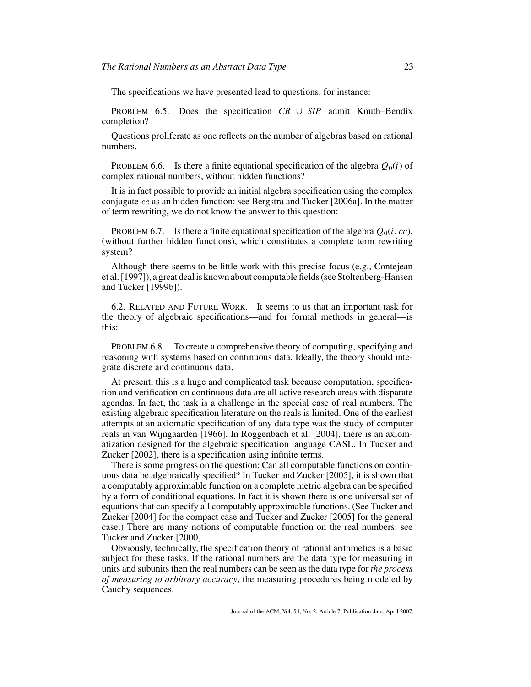The specifications we have presented lead to questions, for instance:

PROBLEM 6.5. Does the specification *CR* ∪ *SIP* admit Knuth–Bendix completion?

Questions proliferate as one reflects on the number of algebras based on rational numbers.

PROBLEM 6.6. Is there a finite equational specification of the algebra  $Q_0(i)$  of complex rational numbers, without hidden functions?

It is in fact possible to provide an initial algebra specification using the complex conjugate cc as an hidden function: see Bergstra and Tucker [2006a]. In the matter of term rewriting, we do not know the answer to this question:

PROBLEM 6.7. Is there a finite equational specification of the algebra  $O_0(i, cc)$ , (without further hidden functions), which constitutes a complete term rewriting system?

Although there seems to be little work with this precise focus (e.g., Contejean et al. [1997]), a great deal is known about computable fields (see Stoltenberg-Hansen and Tucker [1999b]).

6.2. RELATED AND FUTURE WORK. It seems to us that an important task for the theory of algebraic specifications—and for formal methods in general—is this:

PROBLEM 6.8. To create a comprehensive theory of computing, specifying and reasoning with systems based on continuous data. Ideally, the theory should integrate discrete and continuous data.

At present, this is a huge and complicated task because computation, specification and verification on continuous data are all active research areas with disparate agendas. In fact, the task is a challenge in the special case of real numbers. The existing algebraic specification literature on the reals is limited. One of the earliest attempts at an axiomatic specification of any data type was the study of computer reals in van Wijngaarden [1966]. In Roggenbach et al. [2004], there is an axiomatization designed for the algebraic specification language CASL. In Tucker and Zucker [2002], there is a specification using infinite terms.

There is some progress on the question: Can all computable functions on continuous data be algebraically specified? In Tucker and Zucker [2005], it is shown that a computably approximable function on a complete metric algebra can be specified by a form of conditional equations. In fact it is shown there is one universal set of equations that can specify all computably approximable functions. (See Tucker and Zucker [2004] for the compact case and Tucker and Zucker [2005] for the general case.) There are many notions of computable function on the real numbers: see Tucker and Zucker [2000].

Obviously, technically, the specification theory of rational arithmetics is a basic subject for these tasks. If the rational numbers are the data type for measuring in units and subunits then the real numbers can be seen as the data type for *the process of measuring to arbitrary accuracy*, the measuring procedures being modeled by Cauchy sequences.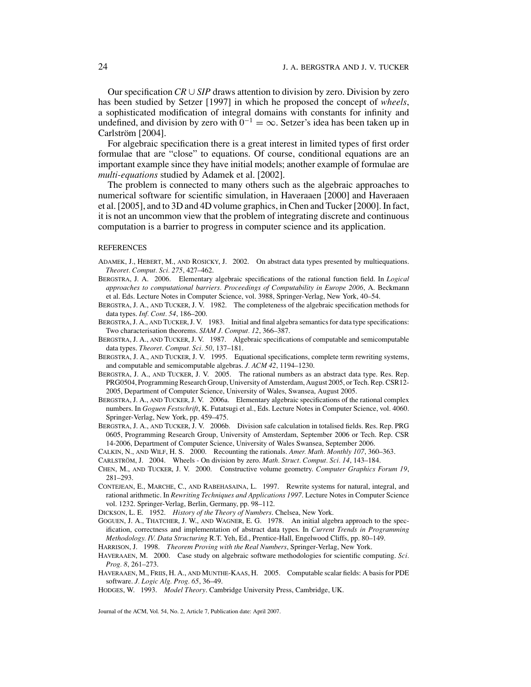Our specification *CR* ∪ *SIP* draws attention to division by zero. Division by zero has been studied by Setzer [1997] in which he proposed the concept of *wheels*, a sophisticated modification of integral domains with constants for infinity and undefined, and division by zero with  $0^{-1} = \infty$ . Setzer's idea has been taken up in Carlström [2004].

For algebraic specification there is a great interest in limited types of first order formulae that are "close" to equations. Of course, conditional equations are an important example since they have initial models; another example of formulae are *multi-equations* studied by Adamek et al. [2002].

The problem is connected to many others such as the algebraic approaches to numerical software for scientific simulation, in Haveraaen [2000] and Haveraaen et al. [2005], and to 3D and 4D volume graphics, in Chen and Tucker [2000]. In fact, it is not an uncommon view that the problem of integrating discrete and continuous computation is a barrier to progress in computer science and its application.

#### **REFERENCES**

- ADAMEK, J., HEBERT, M., AND ROSICKY, J. 2002. On abstract data types presented by multiequations. *Theoret. Comput. Sci. 275*, 427–462.
- BERGSTRA, J. A. 2006. Elementary algebraic specifications of the rational function field. In *Logical approaches to computational barriers. Proceedings of Computability in Europe 2006*, A. Beckmann et al. Eds. Lecture Notes in Computer Science, vol. 3988, Springer-Verlag, New York, 40–54.
- BERGSTRA, J. A., AND TUCKER, J. V. 1982. The completeness of the algebraic specification methods for data types. *Inf. Cont. 54*, 186–200.
- BERGSTRA, J. A., AND TUCKER, J. V. 1983. Initial and final algebra semantics for data type specifications: Two characterisation theorems. *SIAM J. Comput. 12*, 366–387.
- BERGSTRA, J. A., AND TUCKER, J. V. 1987. Algebraic specifications of computable and semicomputable data types. *Theoret. Comput. Sci. 50*, 137–181.
- BERGSTRA, J. A., AND TUCKER, J. V. 1995. Equational specifications, complete term rewriting systems, and computable and semicomputable algebras. *J. ACM 42*, 1194–1230.
- BERGSTRA, J. A., AND TUCKER, J. V. 2005. The rational numbers as an abstract data type. Res. Rep. PRG0504, Programming Research Group, University of Amsterdam, August 2005, or Tech. Rep. CSR12- 2005, Department of Computer Science, University of Wales, Swansea, August 2005.
- BERGSTRA, J. A., AND TUCKER, J. V. 2006a. Elementary algebraic specifications of the rational complex numbers. In *Goguen Festschrift*, K. Futatsugi et al., Eds. Lecture Notes in Computer Science, vol. 4060. Springer-Verlag, New York, pp. 459–475.
- BERGSTRA, J. A., AND TUCKER, J. V. 2006b. Division safe calculation in totalised fields. Res. Rep. PRG 0605, Programming Research Group, University of Amsterdam, September 2006 or Tech. Rep. CSR 14-2006, Department of Computer Science, University of Wales Swansea, September 2006.
- CALKIN, N., AND WILF, H. S. 2000. Recounting the rationals. *Amer. Math. Monthly 107*, 360–363.
- CARLSTRÖM, J. 2004. Wheels On division by zero. *Math. Struct. Comput. Sci. 14*, 143–184.
- CHEN, M., AND TUCKER, J. V. 2000. Constructive volume geometry. *Computer Graphics Forum 19*, 281–293.
- CONTEJEAN, E., MARCHE, C., AND RABEHASAINA, L. 1997. Rewrite systems for natural, integral, and rational arithmetic. In *Rewriting Techniques and Applications 1997*. Lecture Notes in Computer Science vol. 1232. Springer-Verlag, Berlin, Germany, pp. 98–112.

DICKSON, L. E. 1952. *History of the Theory of Numbers*. Chelsea, New York.

- GOGUEN, J. A., THATCHER, J. W., AND WAGNER, E. G. 1978. An initial algebra approach to the specification, correctness and implementation of abstract data types. In *Current Trends in Programming Methodology. IV. Data Structuring* R.T. Yeh, Ed., Prentice-Hall, Engelwood Cliffs, pp. 80–149.
- HARRISON, J. 1998. *Theorem Proving with the Real Numbers*, Springer-Verlag, New York.
- HAVERAAEN, M. 2000. Case study on algebraic software methodologies for scientific computing. *Sci. Prog. 8*, 261–273.
- HAVERAAEN, M., FRIIS, H. A., AND MUNTHE-KAAS, H. 2005. Computable scalar fields: A basis for PDE software. *J. Logic Alg. Prog. 65*, 36–49.

HODGES, W. 1993. *Model Theory*. Cambridge University Press, Cambridge, UK.